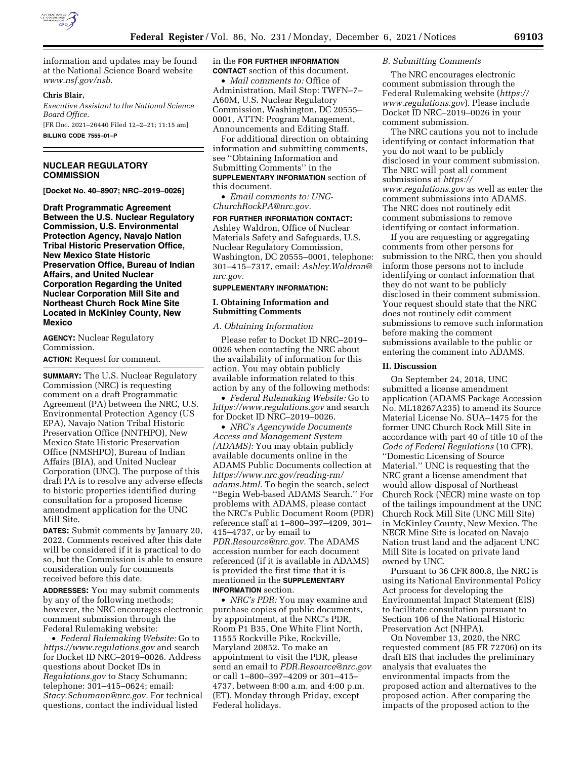

information and updates may be found at the National Science Board website *[www.nsf.gov/nsb.](http://www.nsf.gov/nsb)* 

## **Chris Blair,**

*Executive Assistant to the National Science Board Office.*  [FR Doc. 2021–26440 Filed 12–2–21; 11:15 am]

**BILLING CODE 7555–01–P** 

# **NUCLEAR REGULATORY COMMISSION**

**[Docket No. 40–8907; NRC–2019–0026]** 

**Draft Programmatic Agreement Between the U.S. Nuclear Regulatory Commission, U.S. Environmental Protection Agency, Navajo Nation Tribal Historic Preservation Office, New Mexico State Historic Preservation Office, Bureau of Indian Affairs, and United Nuclear Corporation Regarding the United Nuclear Corporation Mill Site and Northeast Church Rock Mine Site Located in McKinley County, New Mexico** 

**AGENCY:** Nuclear Regulatory Commission.

**ACTION:** Request for comment.

**SUMMARY:** The U.S. Nuclear Regulatory Commission (NRC) is requesting comment on a draft Programmatic Agreement (PA) between the NRC, U.S. Environmental Protection Agency (US EPA), Navajo Nation Tribal Historic Preservation Office (NNTHPO), New Mexico State Historic Preservation Office (NMSHPO), Bureau of Indian Affairs (BIA), and United Nuclear Corporation (UNC). The purpose of this draft PA is to resolve any adverse effects to historic properties identified during consultation for a proposed license amendment application for the UNC Mill Site.

**DATES:** Submit comments by January 20, 2022. Comments received after this date will be considered if it is practical to do so, but the Commission is able to ensure consideration only for comments received before this date.

**ADDRESSES:** You may submit comments by any of the following methods; however, the NRC encourages electronic comment submission through the Federal Rulemaking website:

• *Federal Rulemaking Website:* Go to *<https://www.regulations.gov>* and search for Docket ID NRC–2019–0026. Address questions about Docket IDs in *Regulations.gov* to Stacy Schumann; telephone: 301–415–0624; email: *[Stacy.Schumann@nrc.gov.](mailto:Stacy.Schumann@nrc.gov)* For technical questions, contact the individual listed

in the **FOR FURTHER INFORMATION CONTACT** section of this document.

• *Mail comments to:* Office of Administration, Mail Stop: TWFN–7– A60M, U.S. Nuclear Regulatory Commission, Washington, DC 20555– 0001, ATTN: Program Management, Announcements and Editing Staff.

For additional direction on obtaining information and submitting comments, see ''Obtaining Information and Submitting Comments'' in the **SUPPLEMENTARY INFORMATION** section of this document.

• *Email comments to: [UNC-](mailto:UNC-ChurchRockPA@nrc.gov)[ChurchRockPA@nrc.gov.](mailto:UNC-ChurchRockPA@nrc.gov)* 

**FOR FURTHER INFORMATION CONTACT:**  Ashley Waldron, Office of Nuclear Materials Safety and Safeguards, U.S. Nuclear Regulatory Commission, Washington, DC 20555–0001, telephone: 301–415–7317, email: *[Ashley.Waldron@](mailto:Ashley.Waldron@nrc.gov) [nrc.gov.](mailto:Ashley.Waldron@nrc.gov)* 

### **SUPPLEMENTARY INFORMATION:**

### **I. Obtaining Information and Submitting Comments**

### *A. Obtaining Information*

Please refer to Docket ID NRC–2019– 0026 when contacting the NRC about the availability of information for this action. You may obtain publicly available information related to this action by any of the following methods:

• *Federal Rulemaking Website:* Go to *<https://www.regulations.gov>* and search for Docket ID NRC–2019–0026.

• *NRC's Agencywide Documents Access and Management System (ADAMS):* You may obtain publicly available documents online in the ADAMS Public Documents collection at *[https://www.nrc.gov/reading-rm/](https://www.nrc.gov/reading-rm/adams.html)  [adams.html.](https://www.nrc.gov/reading-rm/adams.html)* To begin the search, select ''Begin Web-based ADAMS Search.'' For problems with ADAMS, please contact the NRC's Public Document Room (PDR) reference staff at 1–800–397–4209, 301– 415–4737, or by email to *[PDR.Resource@nrc.gov.](mailto:PDR.Resource@nrc.gov)* The ADAMS accession number for each document referenced (if it is available in ADAMS) is provided the first time that it is mentioned in the **SUPPLEMENTARY INFORMATION** section.

• *NRC's PDR:* You may examine and purchase copies of public documents, by appointment, at the NRC's PDR, Room P1 B35, One White Flint North, 11555 Rockville Pike, Rockville, Maryland 20852. To make an appointment to visit the PDR, please send an email to *[PDR.Resource@nrc.gov](mailto:PDR.Resource@nrc.gov)*  or call 1–800–397–4209 or 301–415– 4737, between 8:00 a.m. and 4:00 p.m. (ET), Monday through Friday, except Federal holidays.

#### *B. Submitting Comments*

The NRC encourages electronic comment submission through the Federal Rulemaking website (*[https://](https://www.regulations.gov) [www.regulations.gov](https://www.regulations.gov)*). Please include Docket ID NRC–2019–0026 in your comment submission.

The NRC cautions you not to include identifying or contact information that you do not want to be publicly disclosed in your comment submission. The NRC will post all comment submissions at *[https://](https://www.regulations.gov) [www.regulations.gov](https://www.regulations.gov)* as well as enter the comment submissions into ADAMS. The NRC does not routinely edit comment submissions to remove identifying or contact information.

If you are requesting or aggregating comments from other persons for submission to the NRC, then you should inform those persons not to include identifying or contact information that they do not want to be publicly disclosed in their comment submission. Your request should state that the NRC does not routinely edit comment submissions to remove such information before making the comment submissions available to the public or entering the comment into ADAMS.

#### **II. Discussion**

On September 24, 2018, UNC submitted a license amendment application (ADAMS Package Accession No. ML18267A235) to amend its Source Material License No. SUA–1475 for the former UNC Church Rock Mill Site in accordance with part 40 of title 10 of the *Code of Federal Regulations* (10 CFR), ''Domestic Licensing of Source Material.'' UNC is requesting that the NRC grant a license amendment that would allow disposal of Northeast Church Rock (NECR) mine waste on top of the tailings impoundment at the UNC Church Rock Mill Site (UNC Mill Site) in McKinley County, New Mexico. The NECR Mine Site is located on Navajo Nation trust land and the adjacent UNC Mill Site is located on private land owned by UNC.

Pursuant to 36 CFR 800.8, the NRC is using its National Environmental Policy Act process for developing the Environmental Impact Statement (EIS) to facilitate consultation pursuant to Section 106 of the National Historic Preservation Act (NHPA).

On November 13, 2020, the NRC requested comment (85 FR 72706) on its draft EIS that includes the preliminary analysis that evaluates the environmental impacts from the proposed action and alternatives to the proposed action. After comparing the impacts of the proposed action to the